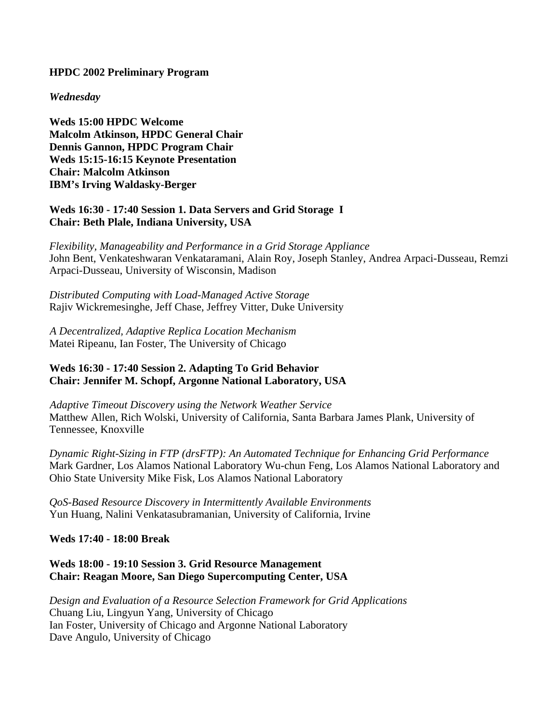### **HPDC 2002 Preliminary Program**

#### *Wednesday*

**Weds 15:00 HPDC Welcome Malcolm Atkinson, HPDC General Chair Dennis Gannon, HPDC Program Chair Weds 15:15-16:15 Keynote Presentation Chair: Malcolm Atkinson IBM's Irving Waldasky-Berger**

## **Weds 16:30 - 17:40 Session 1. Data Servers and Grid Storage I Chair: Beth Plale, Indiana University, USA**

*Flexibility, Manageability and Performance in a Grid Storage Appliance* John Bent, Venkateshwaran Venkataramani, Alain Roy, Joseph Stanley, Andrea Arpaci-Dusseau, Remzi Arpaci-Dusseau, University of Wisconsin, Madison

*Distributed Computing with Load-Managed Active Storage* Rajiv Wickremesinghe, Jeff Chase, Jeffrey Vitter, Duke University

*A Decentralized, Adaptive Replica Location Mechanism* Matei Ripeanu, Ian Foster, The University of Chicago

## **Weds 16:30 - 17:40 Session 2. Adapting To Grid Behavior Chair: Jennifer M. Schopf, Argonne National Laboratory, USA**

*Adaptive Timeout Discovery using the Network Weather Service* Matthew Allen, Rich Wolski, University of California, Santa Barbara James Plank, University of Tennessee, Knoxville

*Dynamic Right-Sizing in FTP (drsFTP): An Automated Technique for Enhancing Grid Performance* Mark Gardner, Los Alamos National Laboratory Wu-chun Feng, Los Alamos National Laboratory and Ohio State University Mike Fisk, Los Alamos National Laboratory

*QoS-Based Resource Discovery in Intermittently Available Environments* Yun Huang, Nalini Venkatasubramanian, University of California, Irvine

### **Weds 17:40 - 18:00 Break**

### **Weds 18:00 - 19:10 Session 3. Grid Resource Management Chair: Reagan Moore, San Diego Supercomputing Center, USA**

*Design and Evaluation of a Resource Selection Framework for Grid Applications* Chuang Liu, Lingyun Yang, University of Chicago Ian Foster, University of Chicago and Argonne National Laboratory Dave Angulo, University of Chicago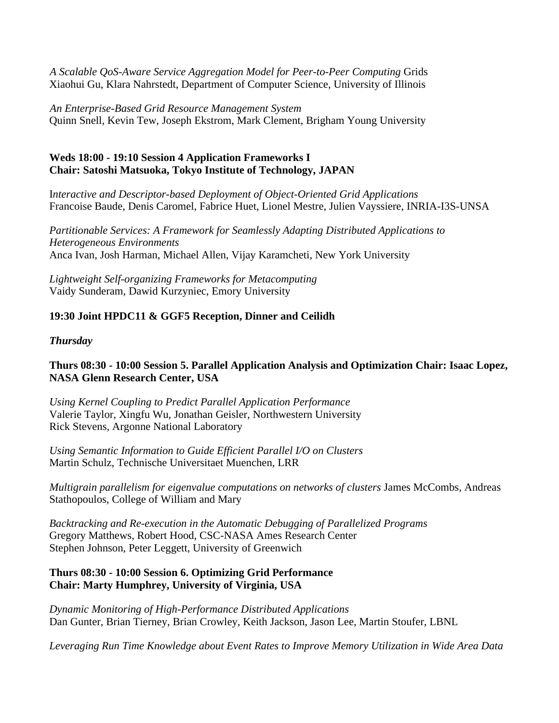*A Scalable QoS-Aware Service Aggregation Model for Peer-to-Peer Computing* Grids Xiaohui Gu, Klara Nahrstedt, Department of Computer Science, University of Illinois

*An Enterprise-Based Grid Resource Management System* Quinn Snell, Kevin Tew, Joseph Ekstrom, Mark Clement, Brigham Young University

# **Weds 18:00 - 19:10 Session 4 Application Frameworks I Chair: Satoshi Matsuoka, Tokyo Institute of Technology, JAPAN**

I*nteractive and Descriptor-based Deployment of Object-Oriented Grid Applications* Francoise Baude, Denis Caromel, Fabrice Huet, Lionel Mestre, Julien Vayssiere, INRIA-I3S-UNSA

*Partitionable Services: A Framework for Seamlessly Adapting Distributed Applications to Heterogeneous Environments* Anca Ivan, Josh Harman, Michael Allen, Vijay Karamcheti, New York University

*Lightweight Self-organizing Frameworks for Metacomputing* Vaidy Sunderam, Dawid Kurzyniec, Emory University

# **19:30 Joint HPDC11 & GGF5 Reception, Dinner and Ceilidh**

## *Thursday*

## **Thurs 08:30 - 10:00 Session 5. Parallel Application Analysis and Optimization Chair: Isaac Lopez, NASA Glenn Research Center, USA**

*Using Kernel Coupling to Predict Parallel Application Performance* Valerie Taylor, Xingfu Wu, Jonathan Geisler, Northwestern University Rick Stevens, Argonne National Laboratory

*Using Semantic Information to Guide Efficient Parallel I/O on Clusters* Martin Schulz, Technische Universitaet Muenchen, LRR

*Multigrain parallelism for eigenvalue computations on networks of clusters* James McCombs, Andreas Stathopoulos, College of William and Mary

*Backtracking and Re-execution in the Automatic Debugging of Parallelized Programs* Gregory Matthews, Robert Hood, CSC-NASA Ames Research Center Stephen Johnson, Peter Leggett, University of Greenwich

## **Thurs 08:30 - 10:00 Session 6. Optimizing Grid Performance Chair: Marty Humphrey, University of Virginia, USA**

*Dynamic Monitoring of High-Performance Distributed Applications* Dan Gunter, Brian Tierney, Brian Crowley, Keith Jackson, Jason Lee, Martin Stoufer, LBNL

*Leveraging Run Time Knowledge about Event Rates to Improve Memory Utilization in Wide Area Data*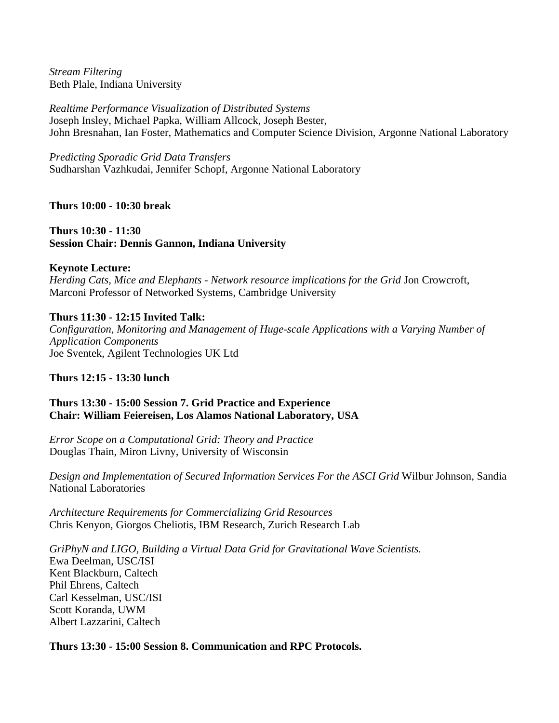*Stream Filtering* Beth Plale, Indiana University

*Realtime Performance Visualization of Distributed Systems* Joseph Insley, Michael Papka, William Allcock, Joseph Bester, John Bresnahan, Ian Foster, Mathematics and Computer Science Division, Argonne National Laboratory

*Predicting Sporadic Grid Data Transfers*

Sudharshan Vazhkudai, Jennifer Schopf, Argonne National Laboratory

**Thurs 10:00 - 10:30 break**

**Thurs 10:30 - 11:30 Session Chair: Dennis Gannon, Indiana University**

# **Keynote Lecture:**

*Herding Cats, Mice and Elephants - Network resource implications for the Grid* Jon Crowcroft, Marconi Professor of Networked Systems, Cambridge University

# **Thurs 11:30 - 12:15 Invited Talk:**

*Configuration, Monitoring and Management of Huge-scale Applications with a Varying Number of Application Components* Joe Sventek, Agilent Technologies UK Ltd

# **Thurs 12:15 - 13:30 lunch**

# **Thurs 13:30 - 15:00 Session 7. Grid Practice and Experience Chair: William Feiereisen, Los Alamos National Laboratory, USA**

*Error Scope on a Computational Grid: Theory and Practice* Douglas Thain, Miron Livny, University of Wisconsin

*Design and Implementation of Secured Information Services For the ASCI Grid* Wilbur Johnson, Sandia National Laboratories

*Architecture Requirements for Commercializing Grid Resources* Chris Kenyon, Giorgos Cheliotis, IBM Research, Zurich Research Lab

*GriPhyN and LIGO, Building a Virtual Data Grid for Gravitational Wave Scientists.* Ewa Deelman, USC/ISI Kent Blackburn, Caltech Phil Ehrens, Caltech Carl Kesselman, USC/ISI Scott Koranda, UWM Albert Lazzarini, Caltech

# **Thurs 13:30 - 15:00 Session 8. Communication and RPC Protocols.**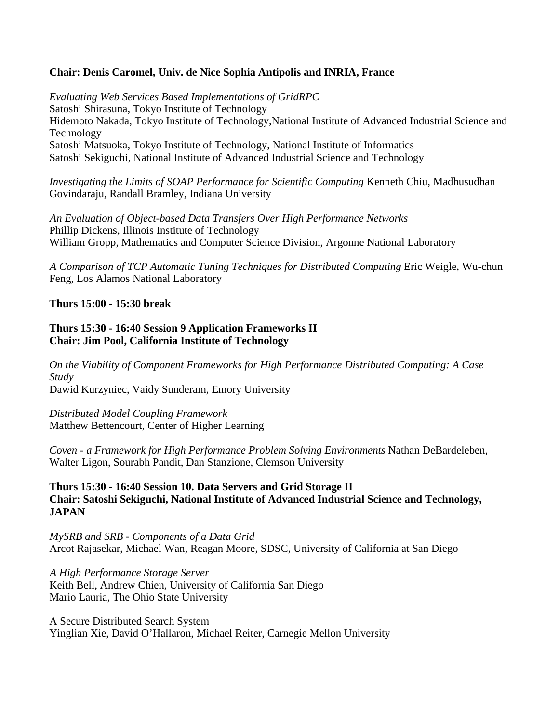## **Chair: Denis Caromel, Univ. de Nice Sophia Antipolis and INRIA, France**

*Evaluating Web Services Based Implementations of GridRPC* Satoshi Shirasuna, Tokyo Institute of Technology Hidemoto Nakada, Tokyo Institute of Technology,National Institute of Advanced Industrial Science and Technology Satoshi Matsuoka, Tokyo Institute of Technology, National Institute of Informatics Satoshi Sekiguchi, National Institute of Advanced Industrial Science and Technology

*Investigating the Limits of SOAP Performance for Scientific Computing* Kenneth Chiu, Madhusudhan Govindaraju, Randall Bramley, Indiana University

*An Evaluation of Object-based Data Transfers Over High Performance Networks* Phillip Dickens, Illinois Institute of Technology William Gropp, Mathematics and Computer Science Division, Argonne National Laboratory

*A Comparison of TCP Automatic Tuning Techniques for Distributed Computing* Eric Weigle, Wu-chun Feng, Los Alamos National Laboratory

## **Thurs 15:00 - 15:30 break**

### **Thurs 15:30 - 16:40 Session 9 Application Frameworks II Chair: Jim Pool, California Institute of Technology**

*On the Viability of Component Frameworks for High Performance Distributed Computing: A Case Study* Dawid Kurzyniec, Vaidy Sunderam, Emory University

*Distributed Model Coupling Framework* Matthew Bettencourt, Center of Higher Learning

*Coven - a Framework for High Performance Problem Solving Environments* Nathan DeBardeleben, Walter Ligon, Sourabh Pandit, Dan Stanzione, Clemson University

**Thurs 15:30 - 16:40 Session 10. Data Servers and Grid Storage II Chair: Satoshi Sekiguchi, National Institute of Advanced Industrial Science and Technology, JAPAN**

*MySRB and SRB - Components of a Data Grid* Arcot Rajasekar, Michael Wan, Reagan Moore, SDSC, University of California at San Diego

*A High Performance Storage Server* Keith Bell, Andrew Chien, University of California San Diego Mario Lauria, The Ohio State University

A Secure Distributed Search System Yinglian Xie, David O'Hallaron, Michael Reiter, Carnegie Mellon University